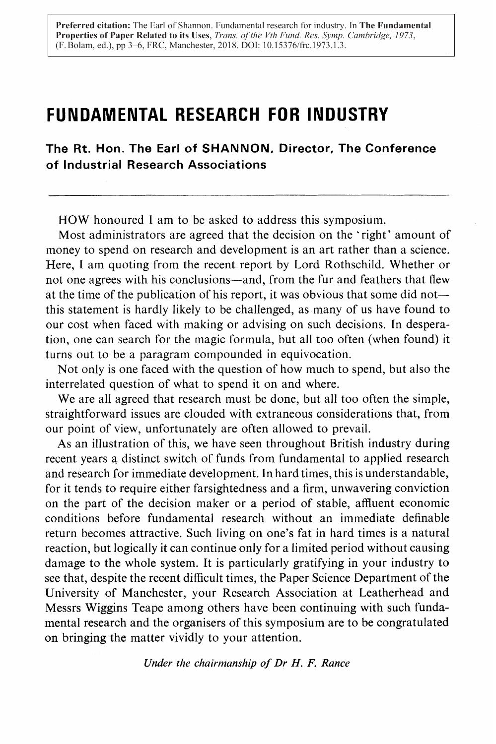**Preferred citation:** The Earl of Shannon. Fundamental research for industry. In **The Fundamental Properties of Paper Related to its Uses**, *Trans. of the Vth Fund. Res. Symp. Cambridge, 1973*, (F. Bolam, ed.), pp 3–6, FRC, Manchester, 2018. DOI: 10.15376/frc.1973.1.3.

# FUNDAMENTAL RESEARCH FOR INDUSTRY

The Rt. Hon. The Earl of SHANNON, Director, The Conference of Industrial Research Associations

HOW honoured <sup>I</sup> am to be asked to address this symposium.

Most administrators are agreed that the decision on the 'right' amount of money to spend on research and development is an art rather than a science. Here, <sup>I</sup> am quoting from the recent report by Lord Rothschild. Whether or not one agrees with his conclusions-and, from the fur and feathers that flew at the time of the publication of his report, it was obvious that some did not this statement is hardly likely to be challenged, as many of us have found to our cost when faced with making or advising on such decisions . In desperation, one can search for the magic formula, but all too often (when found) it turns out to be a paragram compounded in equivocation.

Not only is one faced with the question of how much to spend, but also the interrelated question of what to spend it on and where.

We are all agreed that research must be done, but all too often the simple, straightforward issues are clouded with extraneous considerations that, from our point of view, unfortunately are often allowed to prevail.

As an illustration of this, we have seen throughout British industry during recent years a distinct switch of funds from fundamental to applied research and research for immediate development. In hard times, this is understandable, for it tends to require either farsightedness and a firm, unwavering conviction on the part of the decision maker or a period of stable, affluent economic conditions before fundamental research without an immediate definable return becomes attractive . Such living on one's fat in hard times is a natural reaction, but logically it can continue only for a limited period without causing damage to the whole system. It is particularly gratifying in your industry to see that, despite the recent difficult times, the Paper Science Department of the University of Manchester, your Research Association at Leatherhead and Messrs Wiggins Teape among others have been continuing with such fundamental research and the organisers of this symposium are to be congratulated on bringing the matter vividly to your attention.

Under the chairmanship of Dr H. F. Rance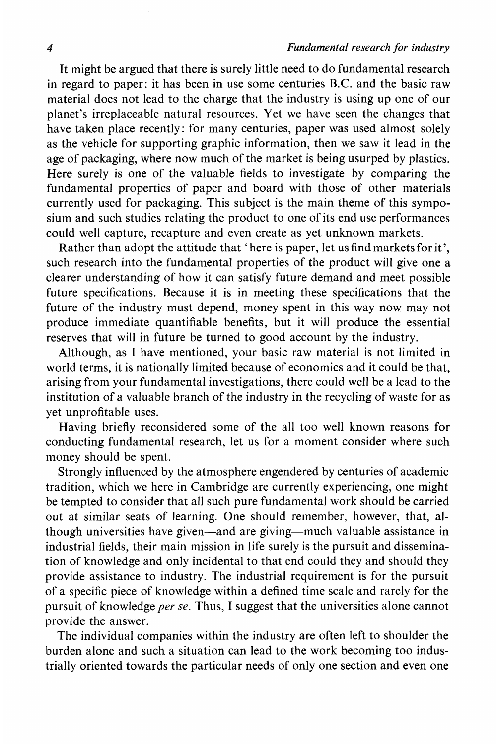It might be argued that there is surely little need to do fundamental research in regard to paper; it has been in use some centuries B.C. and the basic raw material does not lead to the charge that the industry is using up one of our planet's irreplaceable natural resources . Yet we have seen the changes that have taken place recently: for many centuries, paper was used almost solely as the vehicle for supporting graphic information, then we saw it lead in the age of packaging, where now much of the market is being usurped by plastics. Here surely is one of the valuable fields to investigate by comparing the fundamental properties of paper and board with those of other materials currently used for packaging. This subject is the main theme of this symposium and such studies relating the product to one of its end use performances could well capture, recapture and even create as yet unknown markets.

Rather than adopt the attitude that 'here is paper, let us find markets for it'. such research into the fundamental properties of the product will give one a clearer understanding of how it can satisfy future demand and meet possible future specifications. Because it is in meeting these specifications that the future of the industry must depend, money spent in this way now may not produce immediate quantifiable benefits, but it will produce the essential reserves that will in future be turned to good account by the industry.

Although, as <sup>I</sup> have mentioned, your basic raw material is not limited in world terms, it is nationally limited because of economics and it could be that, arising from your fundamental investigations, there could well be a lead to the institution of a valuable branch of the industry in the recycling of waste for as yet unprofitable uses.

Having briefly reconsidered some of the all too well known reasons for conducting fundamental research, let us for a moment consider where such money should be spent.

Strongly influenced by the atmosphere engendered by centuries of academic tradition, which we here in Cambridge are currently experiencing, one might be tempted to consider that all such pure fundamental work should be carried out at similar seats of learning. One should remember, however, that, although universities have given—and are giving—much valuable assistance in industrial fields, their main mission in life surely is the pursuit and dissemination of knowledge and only incidental to that end could they and should they provide assistance to industry. The industrial requirement is for the pursuit of a specific piece of knowledge within a defined time scale and rarely for the pursuit of knowledge per se. Thus, <sup>I</sup> suggest that the universities alone cannot provide the answer.

The individual companies within the industry are often left to shoulder the burden alone and such a situation can lead to the work becoming too industrially oriented towards the particular needs of only one section and even one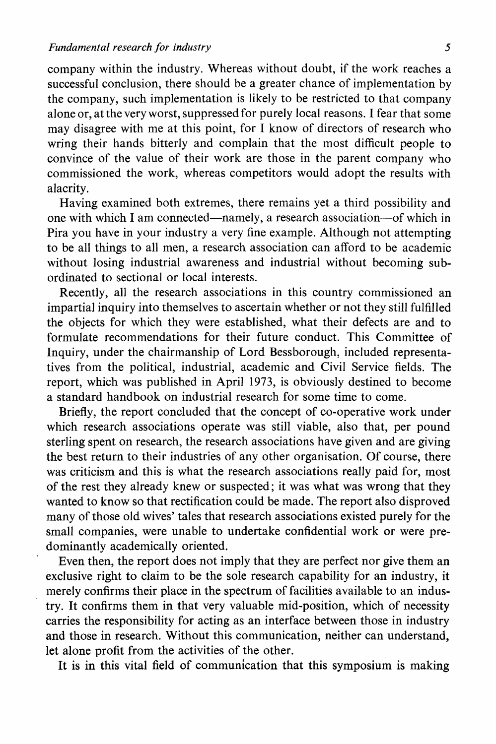company within the industry. Whereas without doubt, if the work reaches <sup>a</sup> successful conclusion, there should be a greater chance of implementation by the company, such implementation is likely to be restricted to that company alone or, atthe veryworst, suppressedfor purely local reasons . <sup>I</sup> fear that some may disagree with me at this point, for <sup>I</sup> know of directors of research who wring their hands bitterly and complain that the most difficult people to convince of the value of their work are those in the parent company who commissioned the work, whereas competitors would adopt the results with alacrity.

Having examined both extremes, there remains yet a third possibility and one with which I am connected—namely, a research association—of which in Pira you have in your industry a very fine example. Although not attempting to be all things to all men, a research association can afford to be academic without losing industrial awareness and industrial without becoming subordinated to sectional or local interests .

Recently, all the research associations in this country commissioned an impartial inquiry into themselves to ascertain whether or not they still fulfilled the objects for which they were established, what their defects are and to formulate recommendations for their future conduct. This Committee of Inquiry, under the chairmanship of Lord Bessborough, included representatives from the political, industrial, academic and Civil Service fields. The report, which was published in April 1973, is obviously destined to become a standard handbook on industrial research for some time to come.

Briefly, the report concluded that the concept of co-operative work under which research associations operate was still viable, also that, per pound sterling spent on research, the research associations have given and are giving the best return to their industries of any other organisation. Of course, there was criticism and this is what the research associations really paid for, most of the rest they already knew or suspected ; it was what was wrong that they wanted to know so that rectification could be made. The report also disproved many of those old wives' tales that research associations existed purely for the small companies, were unable to undertake confidential work or were predominantly academically oriented.

Even then, the report does not imply that they are perfect nor give them an exclusive right to claim to be the sole research capability for an industry, it merely confirms their place in the spectrum of facilities available to an industry. It confirms them in that very valuable mid-position, which of necessity carries the responsibility for acting as an interface between those in industry and those in research. Without this communication, neither can understand, let alone profit from the activities of the other.

It is in this vital field of communication that this symposium is making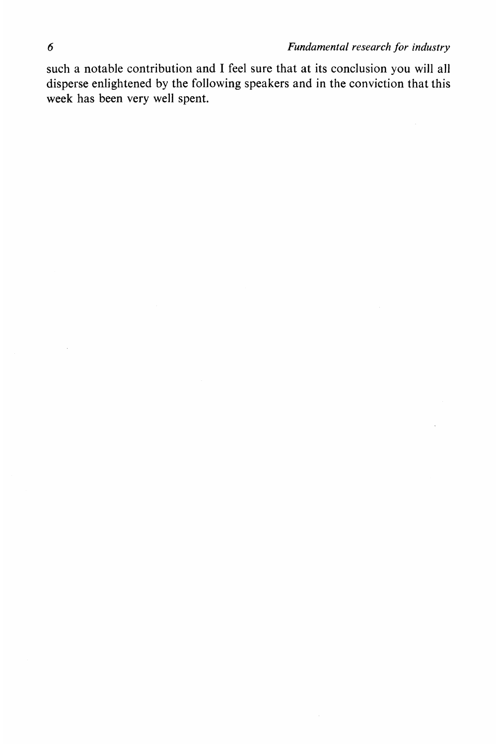such a notable contribution and I feel sure that at its conclusion you will all disperse enlightened by the following speakers and in the conviction that this week has been very well spent.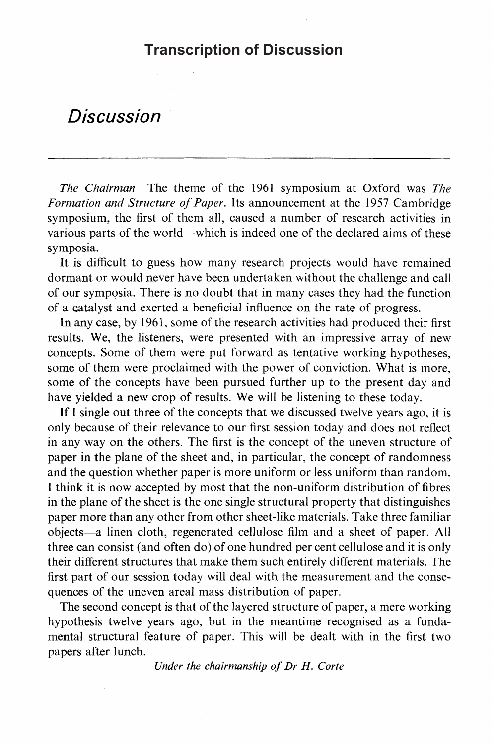### **Transcription of Discussion**

# Discussion

The Chairman The theme of the 1961 symposium at Oxford was The Formation and Structure of Paper. Its announcement at the 1957 Cambridge symposium, the first of them all, caused a number of research activities in various parts of the world—which is indeed one of the declared aims of these symposia.

It is difficult to guess how many research projects would have remained dormant or would never have been undertaken without the challenge and call of our symposia. There is no doubt that in many cases they had the function of a catalyst and exerted a beneficial influence on the rate of progress.

In any case, by 1961, some of the research activities had produced their first results. We, the listeners, were presented with an impressive array of new concepts . Some of them were put forward as tentative working hypotheses, some of them were proclaimed with the power of conviction. What is more, some of the concepts have been pursued further up to the present day and have yielded a new crop of results. We will be listening to these today.

If <sup>I</sup> single out three of the concepts that we discussed twelve years ago, it is only because of their relevance to our first session today and does not reflect in any way on the others. The first is the concept of the uneven structure of paper in the plane of the sheet and, in particular, the concept of randomness and the question whether paper is more uniform or less uniform than random. <sup>I</sup> think it is now accepted by most that the non-uniform distribution of fibres in the plane of the sheet is the one single structural property that distinguishes paper more than any other from other sheet-like materials . Take three familiar objects-a linen cloth, regenerated cellulose film and a sheet of paper. All three can consist (and often do) of one hundred per cent cellulose and it is only their different structures that make them such entirely different materials . The first part of our session today will deal with the measurement and the consequences of the uneven areal mass distribution of paper.

The second concept is that of the layered structure of paper, a mere working hypothesis twelve years ago, but in the meantime recognised as a fundamental structural feature of paper. This will be dealt with in the first two papers after lunch.

Under the chairmanship of Dr H. Corte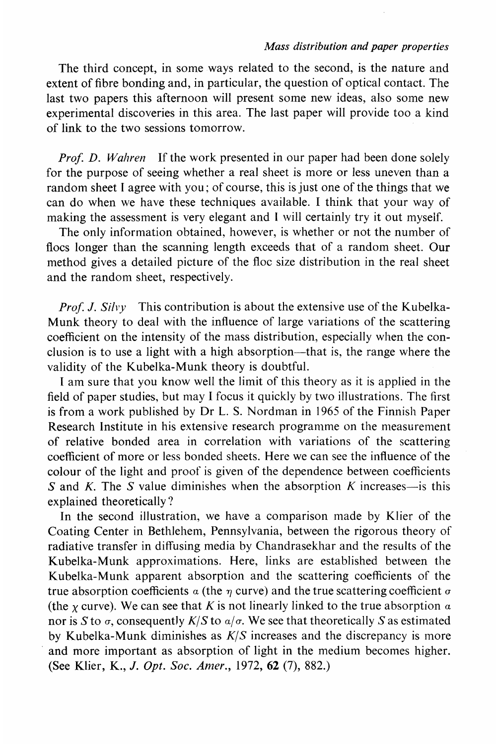#### Mass distribution and paper properties

The third concept, in some ways related to the second, is the nature and extent of fibre bonding and, in particular, the question of optical contact. The last two papers this afternoon will present some new ideas, also some new experimental discoveries in this area. The last paper will provide too a kind of link to the two sessions tomorrow.

Prof. D. Wahren If the work presented in our paper had been done solely for the purpose of seeing whether a real sheet is more or less uneven than a random sheet I agree with you; of course, this is just one of the things that we can do when we have these techniques available. <sup>I</sup> think that your way of making the assessment is very elegant and <sup>I</sup> will certainly try it out myself.

The only information obtained, however, is whether or not the number of flocs longer than the scanning length exceeds that of a random sheet. Our method gives a detailed picture of the floc size distribution in the real sheet and the random sheet, respectively.

*Prof. J. Silvy* This contribution is about the extensive use of the Kubelka-Munk theory to deal with the influence of large variations of the scattering coefficient on the intensity of the mass distribution, especially when the con clusion is to use a light with a high absorption—that is, the range where the validity of the Kubelka-Munk theory is doubtful.

<sup>I</sup> am sure that you know well the limit of this theory as it is applied in the field of paper studies, but may <sup>I</sup> focus it quickly by two illustrations . The first is from <sup>a</sup> work published by Dr L. S. Nordman in 1965 of the Finnish Paper Research Institute in his extensive research programme on the measurement of relative bonded area in correlation with variations of the scattering coefficient of more or less bonded sheets. Here we can see the influence of the colour of the light and proof is given of the dependence between coefficients S and K. The S value diminishes when the absorption K increases-is this explained theoretically ?

In the second illustration, we have a comparison made by Klier of the Coating Center in Bethlehem, Pennsylvania, between the rigorous theory of radiative transfer in diffusing media by Chandrasekhar and the results of the Kubelka-Munk approximations. Here, links are established between the Kubelka-Munk apparent absorption and the scattering coefficients of the true absorption coefficients  $\alpha$  (the  $\eta$  curve) and the true scattering coefficient  $\sigma$ (the  $\gamma$  curve). We can see that K is not linearly linked to the true absorption  $\alpha$ nor is S to  $\sigma$ , consequently K/S to  $\alpha/\sigma$ . We see that theoretically S as estimated by Kubelka-Munk diminishes as  $K/S$  increases and the discrepancy is more and more important as absorption of light in the medium becomes higher. (See Klier, K., J. Opt. Soc. Amer., 1972, 62 (7), 882.)